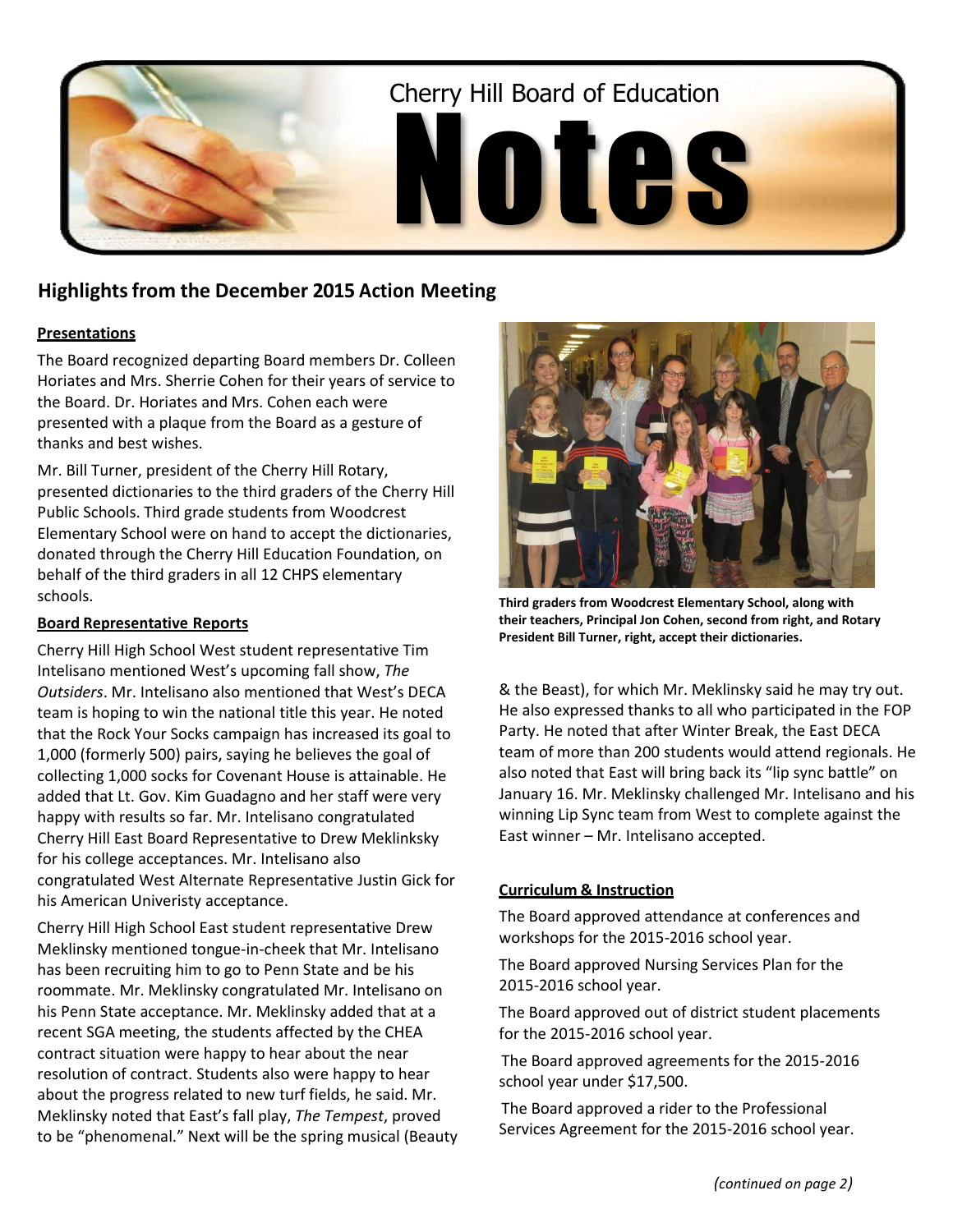

# **Highlightsfrom the December 2015 Action Meeting**

# **Presentations**

The Board recognized departing Board members Dr. Colleen Horiates and Mrs. Sherrie Cohen for their years of service to the Board. Dr. Horiates and Mrs. Cohen each were presented with a plaque from the Board as a gesture of thanks and best wishes.

Mr. Bill Turner, president of the Cherry Hill Rotary, presented dictionaries to the third graders of the Cherry Hill Public Schools. Third grade students from Woodcrest Elementary School were on hand to accept the dictionaries, donated through the Cherry Hill Education Foundation, on behalf of the third graders in all 12 CHPS elementary schools.

# **Board Representative Reports**

Cherry Hill High School West student representative Tim Intelisano mentioned West's upcoming fall show, *The Outsiders*. Mr. Intelisano also mentioned that West's DECA team is hoping to win the national title this year. He noted that the Rock Your Socks campaign has increased its goal to 1,000 (formerly 500) pairs, saying he believes the goal of collecting 1,000 socks for Covenant House is attainable. He added that Lt. Gov. Kim Guadagno and her staff were very happy with results so far. Mr. Intelisano congratulated Cherry Hill East Board Representative to Drew Meklinksky for his college acceptances. Mr. Intelisano also congratulated West Alternate Representative Justin Gick for his American Univeristy acceptance.

Cherry Hill High School East student representative Drew Meklinsky mentioned tongue-in-cheek that Mr. Intelisano has been recruiting him to go to Penn State and be his roommate. Mr. Meklinsky congratulated Mr. Intelisano on his Penn State acceptance. Mr. Meklinsky added that at a recent SGA meeting, the students affected by the CHEA contract situation were happy to hear about the near resolution of contract. Students also were happy to hear about the progress related to new turf fields, he said. Mr. Meklinsky noted that East's fall play, *The Tempest*, proved to be "phenomenal." Next will be the spring musical (Beauty



**Third graders from Woodcrest Elementary School, along with their teachers, Principal Jon Cohen, second from right, and Rotary President Bill Turner, right, accept their dictionaries.**

& the Beast), for which Mr. Meklinsky said he may try out. He also expressed thanks to all who participated in the FOP Party. He noted that after Winter Break, the East DECA team of more than 200 students would attend regionals. He also noted that East will bring back its "lip sync battle" on January 16. Mr. Meklinsky challenged Mr. Intelisano and his winning Lip Sync team from West to complete against the East winner – Mr. Intelisano accepted.

# **Curriculum & Instruction**

The Board approved attendance at conferences and workshops for the 2015-2016 school year.

The Board approved Nursing Services Plan for the 2015-2016 school year.

The Board approved out of district student placements for the 2015-2016 school year.

The Board approved agreements for the 2015-2016 school year under \$17,500.

The Board approved a rider to the Professional Services Agreement for the 2015-2016 school year.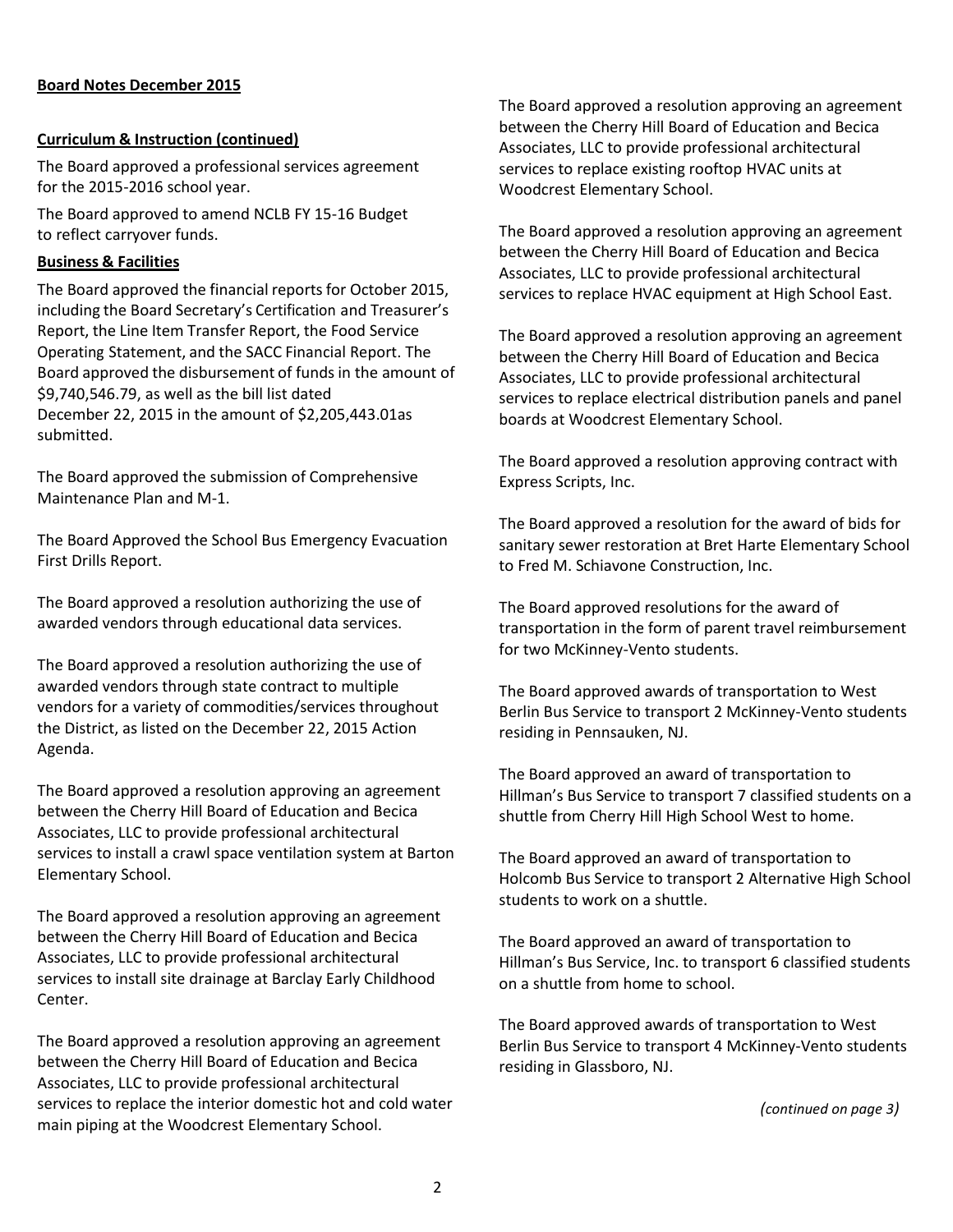## **Board Notes December 2015**

#### **Curriculum & Instruction (continued)**

The Board approved a professional services agreement for the 2015-2016 school year.

The Board approved to amend NCLB FY 15-16 Budget to reflect carryover funds.

#### **Business & Facilities**

The Board approved the financial reports for October 2015, including the Board Secretary's Certification and Treasurer's Report, the Line Item Transfer Report, the Food Service Operating Statement, and the SACC Financial Report. The Board approved the disbursement of funds in the amount of \$9,740,546.79, as well as the bill list dated December 22, 2015 in the amount of \$2,205,443.01as submitted.

The Board approved the submission of Comprehensive Maintenance Plan and M-1.

The Board Approved the School Bus Emergency Evacuation First Drills Report.

The Board approved a resolution authorizing the use of awarded vendors through educational data services.

The Board approved a resolution authorizing the use of awarded vendors through state contract to multiple vendors for a variety of commodities/services throughout the District, as listed on the December 22, 2015 Action Agenda.

The Board approved a resolution approving an agreement between the Cherry Hill Board of Education and Becica Associates, LLC to provide professional architectural services to install a crawl space ventilation system at Barton Elementary School.

The Board approved a resolution approving an agreement between the Cherry Hill Board of Education and Becica Associates, LLC to provide professional architectural services to install site drainage at Barclay Early Childhood Center.

The Board approved a resolution approving an agreement between the Cherry Hill Board of Education and Becica Associates, LLC to provide professional architectural services to replace the interior domestic hot and cold water main piping at the Woodcrest Elementary School.

The Board approved a resolution approving an agreement between the Cherry Hill Board of Education and Becica Associates, LLC to provide professional architectural services to replace existing rooftop HVAC units at Woodcrest Elementary School.

The Board approved a resolution approving an agreement between the Cherry Hill Board of Education and Becica Associates, LLC to provide professional architectural services to replace HVAC equipment at High School East.

The Board approved a resolution approving an agreement between the Cherry Hill Board of Education and Becica Associates, LLC to provide professional architectural services to replace electrical distribution panels and panel boards at Woodcrest Elementary School.

The Board approved a resolution approving contract with Express Scripts, Inc.

The Board approved a resolution for the award of bids for sanitary sewer restoration at Bret Harte Elementary School to Fred M. Schiavone Construction, Inc.

The Board approved resolutions for the award of transportation in the form of parent travel reimbursement for two McKinney-Vento students.

The Board approved awards of transportation to West Berlin Bus Service to transport 2 McKinney-Vento students residing in Pennsauken, NJ.

The Board approved an award of transportation to Hillman's Bus Service to transport 7 classified students on a shuttle from Cherry Hill High School West to home.

The Board approved an award of transportation to Holcomb Bus Service to transport 2 Alternative High School students to work on a shuttle.

The Board approved an award of transportation to Hillman's Bus Service, Inc. to transport 6 classified students on a shuttle from home to school.

The Board approved awards of transportation to West Berlin Bus Service to transport 4 McKinney-Vento students residing in Glassboro, NJ.

*(continued on page 3)*